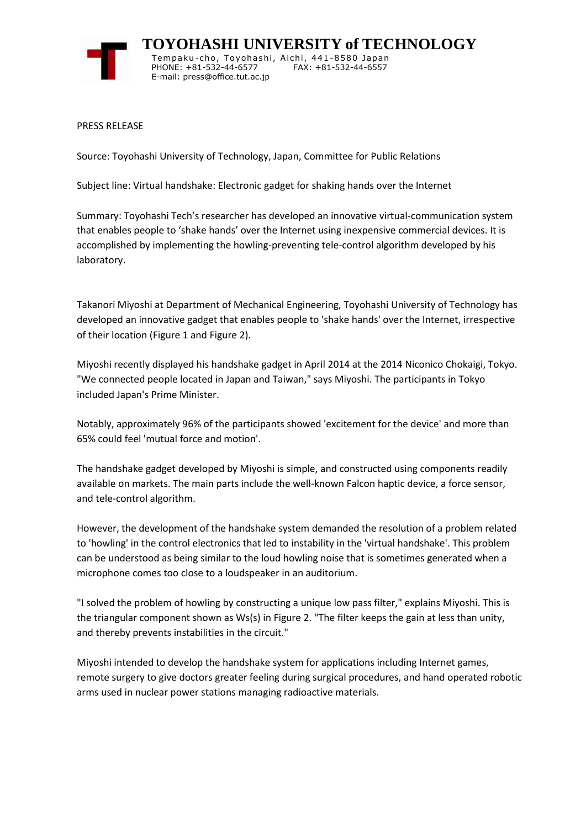

 **TOYOHASHI UNIVERSITY of TECHNOLOGY** Tempaku-cho, Toyohashi, Aichi, 441-8580 Japan PHONE: +81-532-44-6577 FAX: +81-532-44-6557 E-mail: press@office.tut.ac.jp

PRESS RELEASE

Source: Toyohashi University of Technology, Japan, Committee for Public Relations

Subject line: Virtual handshake: Electronic gadget for shaking hands over the Internet

Summary: Toyohashi Tech's researcher has developed an innovative virtual-communication system that enables people to 'shake hands' over the Internet using inexpensive commercial devices. It is accomplished by implementing the howling-preventing tele-control algorithm developed by his laboratory.

Takanori Miyoshi at Department of Mechanical Engineering, Toyohashi University of Technology has developed an innovative gadget that enables people to 'shake hands' over the Internet, irrespective of their location (Figure 1 and Figure 2).

Miyoshi recently displayed his handshake gadget in April 2014 at the 2014 Niconico Chokaigi, Tokyo. "We connected people located in Japan and Taiwan," says Miyoshi. The participants in Tokyo included Japan's Prime Minister.

Notably, approximately 96% of the participants showed 'excitement for the device' and more than 65% could feel 'mutual force and motion'.

The handshake gadget developed by Miyoshi is simple, and constructed using components readily available on markets. The main parts include the well-known Falcon haptic device, a force sensor, and tele-control algorithm.

However, the development of the handshake system demanded the resolution of a problem related to 'howling' in the control electronics that led to instability in the 'virtual handshake'. This problem can be understood as being similar to the loud howling noise that is sometimes generated when a microphone comes too close to a loudspeaker in an auditorium.

"I solved the problem of howling by constructing a unique low pass filter," explains Miyoshi. This is the triangular component shown as Ws(s) in Figure 2. "The filter keeps the gain at less than unity, and thereby prevents instabilities in the circuit."

Miyoshi intended to develop the handshake system for applications including Internet games, remote surgery to give doctors greater feeling during surgical procedures, and hand operated robotic arms used in nuclear power stations managing radioactive materials.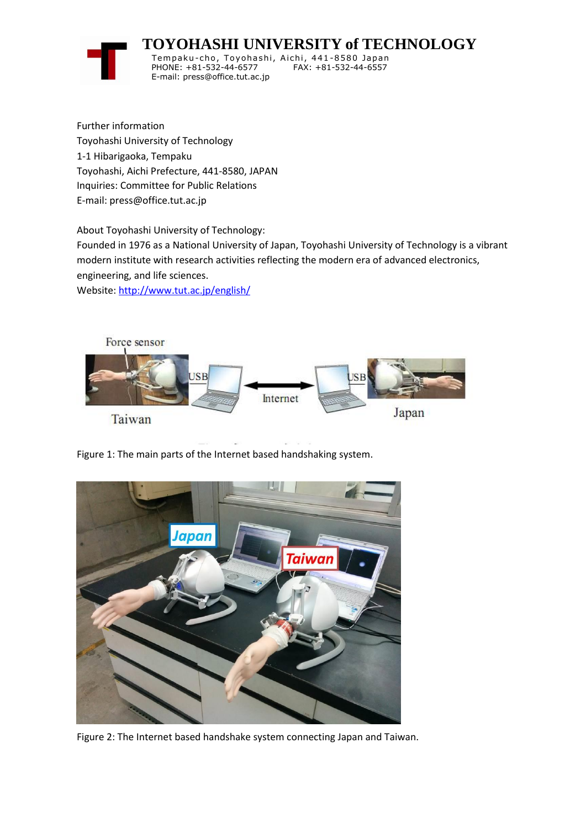

 **TOYOHASHI UNIVERSITY of TECHNOLOGY**

Temp aku-cho , To y oha shi , Ai chi , 441-8580 Jap a n PHONE: +81-532-44-6577 E-mail: press@office.tut.ac.jp

Further information Toyohashi University of Technology 1-1 Hibarigaoka, Tempaku Toyohashi, Aichi Prefecture, 441-8580, JAPAN Inquiries: Committee for Public Relations E-mail: press@office.tut.ac.jp

About Toyohashi University of Technology:

Founded in 1976 as a National University of Japan, Toyohashi University of Technology is a vibrant modern institute with research activities reflecting the modern era of advanced electronics, engineering, and life sciences.

Website[: http://www.tut.ac.jp/english/](https://www.tut.ac.jp/english/)



Figure 1: The main parts of the Internet based handshaking system.



Figure 2: The Internet based handshake system connecting Japan and Taiwan.